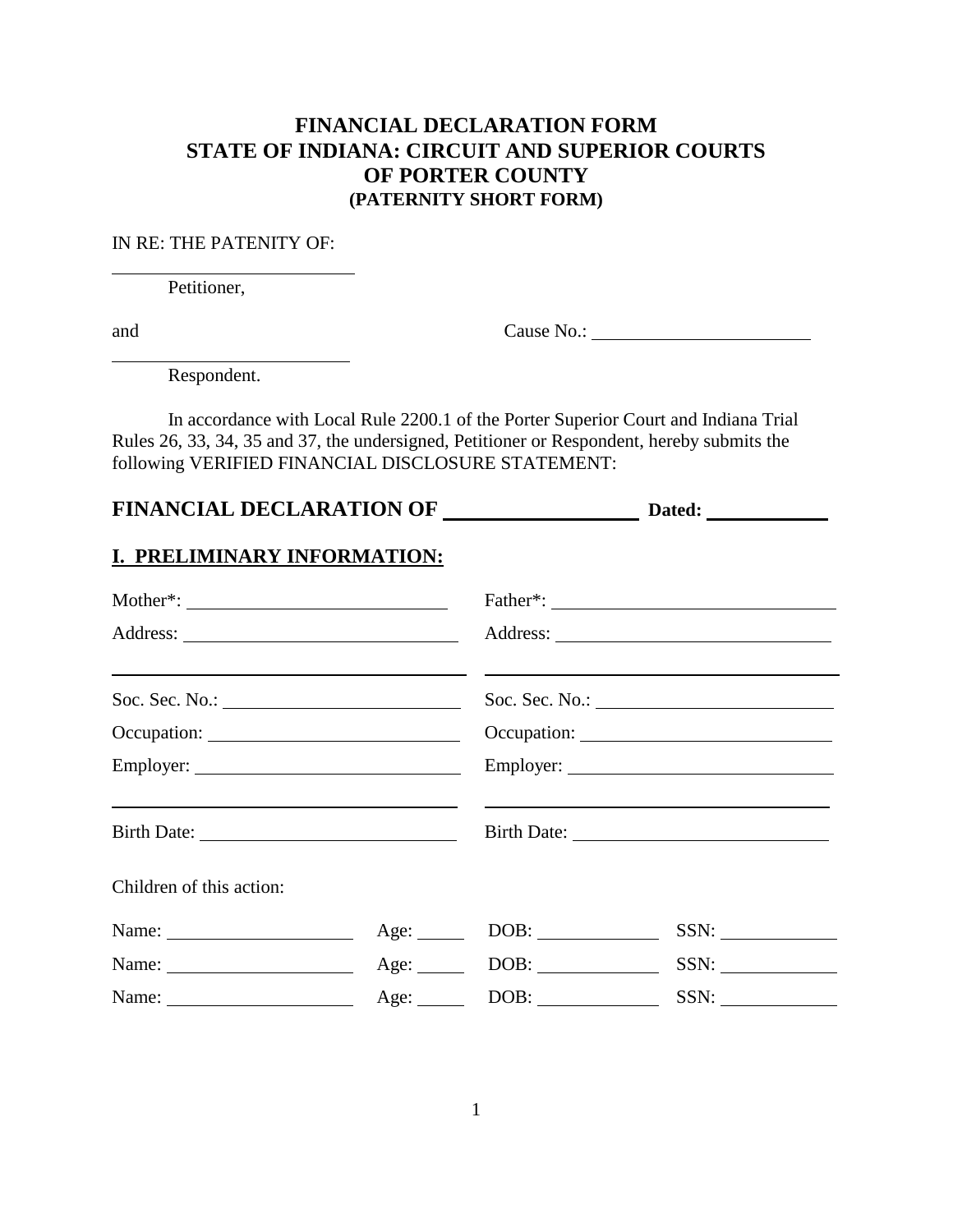### **FINANCIAL DECLARATION FORM STATE OF INDIANA: CIRCUIT AND SUPERIOR COURTS OF PORTER COUNTY (PATERNITY SHORT FORM)**

#### IN RE: THE PATENITY OF:

Petitioner,

 $\overline{a}$ 

 $\overline{a}$ 

and Cause No.:

Respondent.

In accordance with Local Rule 2200.1 of the Porter Superior Court and Indiana Trial Rules 26, 33, 34, 35 and 37, the undersigned, Petitioner or Respondent, hereby submits the following VERIFIED FINANCIAL DISCLOSURE STATEMENT:

| FINANCIAL DECLARATION OF ________________________ Dated: ________________________                                                              |                                               |                                                                                                                                                    |  |
|------------------------------------------------------------------------------------------------------------------------------------------------|-----------------------------------------------|----------------------------------------------------------------------------------------------------------------------------------------------------|--|
| <b>I. PRELIMINARY INFORMATION:</b>                                                                                                             |                                               |                                                                                                                                                    |  |
| $\text{Mother}^*:\underline{\qquad \qquad }$                                                                                                   |                                               |                                                                                                                                                    |  |
|                                                                                                                                                |                                               |                                                                                                                                                    |  |
| <u> Alexander de la contrada de la contrada de la contrada de la contrada de la contrada de la contrada de la con</u><br>Soc. Sec. No.: $\_\_$ |                                               | and the control of the control of the control of the control of the control of the control of the control of the<br>Soc. Sec. No.: $\qquad \qquad$ |  |
|                                                                                                                                                |                                               |                                                                                                                                                    |  |
|                                                                                                                                                |                                               |                                                                                                                                                    |  |
|                                                                                                                                                |                                               |                                                                                                                                                    |  |
| Children of this action:                                                                                                                       |                                               |                                                                                                                                                    |  |
| Name: $\frac{1}{\sqrt{1-\frac{1}{2}} \cdot \frac{1}{2}}$                                                                                       | $Age: \_\_\_\_$ DOB: $\_\_\_\_\_\_\_\_\_\_\_$ | SSN:                                                                                                                                               |  |
| Name: $\frac{1}{\sqrt{1-\frac{1}{2}} \cdot \frac{1}{2}}$                                                                                       |                                               | SSN:                                                                                                                                               |  |
| Name: $\frac{1}{\sqrt{1-\frac{1}{2}} \cdot \frac{1}{2}}$                                                                                       | $Age:$ DOB:                                   | SSN:                                                                                                                                               |  |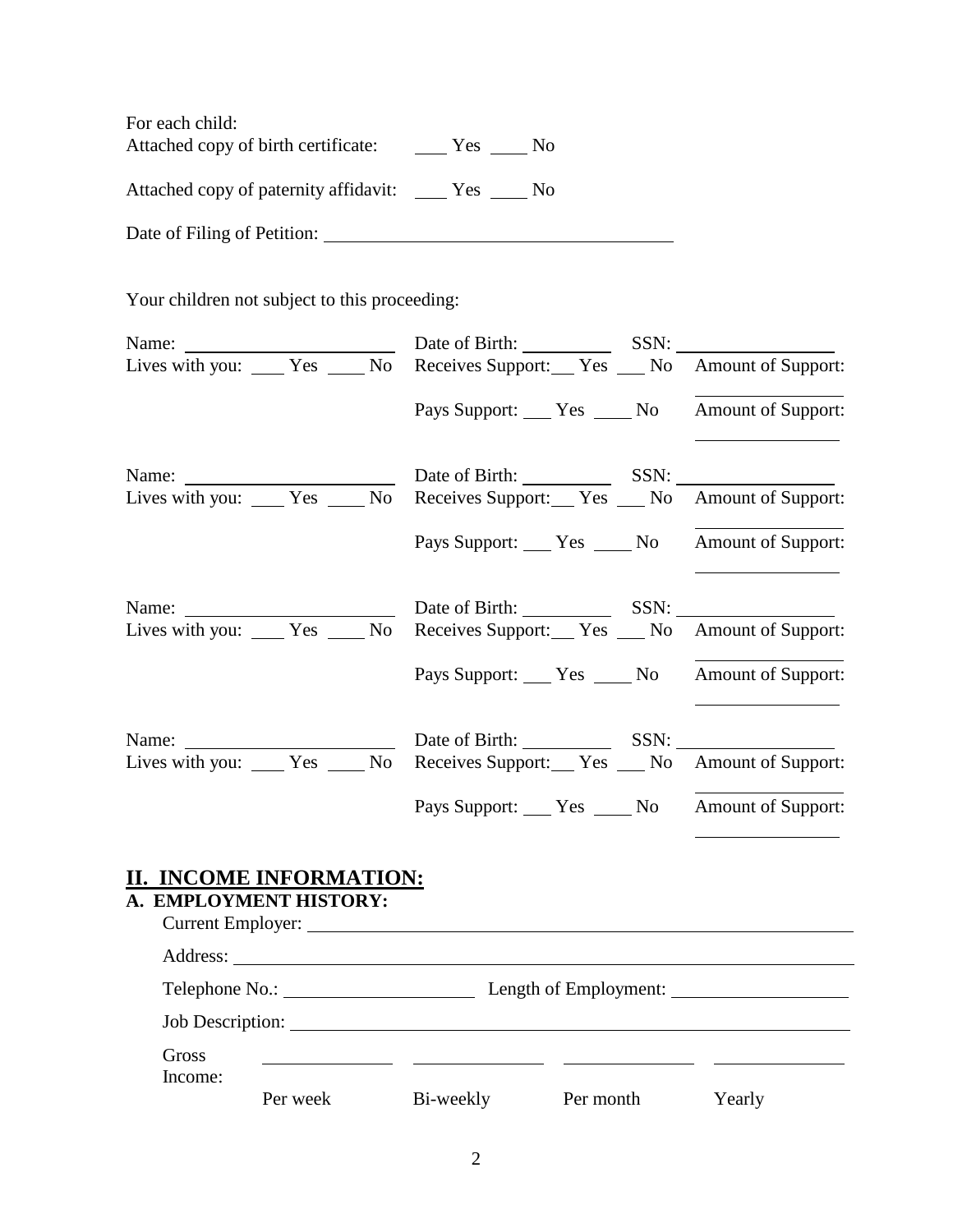For each child: Attached copy of birth certificate: \_\_\_\_\_\_ Yes \_\_\_\_\_ No

Attached copy of paternity affidavit: \_\_\_\_ Yes \_\_\_\_ No

Date of Filing of Petition:

Your children not subject to this proceeding:

| Lives with you: ____ Yes ____ No Receives Support: __ Yes ___ No Amount of Support:                                           |                                                      |  |
|-------------------------------------------------------------------------------------------------------------------------------|------------------------------------------------------|--|
|                                                                                                                               | Pays Support: Yes ______ No Amount of Support:       |  |
| Name: <u>Name:</u> Date of Birth: SSN:<br>Lives with you: ____ Yes ____ No Receives Support: __ Yes ___ No Amount of Support: |                                                      |  |
|                                                                                                                               | Pays Support: _____ Yes ______ No Amount of Support: |  |
|                                                                                                                               |                                                      |  |
| Lives with you: _____ Yes _____ No Receives Support: ___ Yes ____ No Amount of Support:                                       |                                                      |  |
|                                                                                                                               | Pays Support: Yes ______ No Amount of Support:       |  |
| Lives with you: _____ Yes _____ No Receives Support: ___ Yes ____ No Amount of Support:                                       |                                                      |  |
|                                                                                                                               | Pays Support: Yes ______ No Amount of Support:       |  |
| II. INCOME INFORMATION:<br>A. EMPLOYMENT HISTORY:                                                                             |                                                      |  |
|                                                                                                                               | Telephone No.: Length of Employment:                 |  |
|                                                                                                                               | Job Description:                                     |  |
| Gross                                                                                                                         |                                                      |  |

Income: Per week Bi-weekly Per month Yearly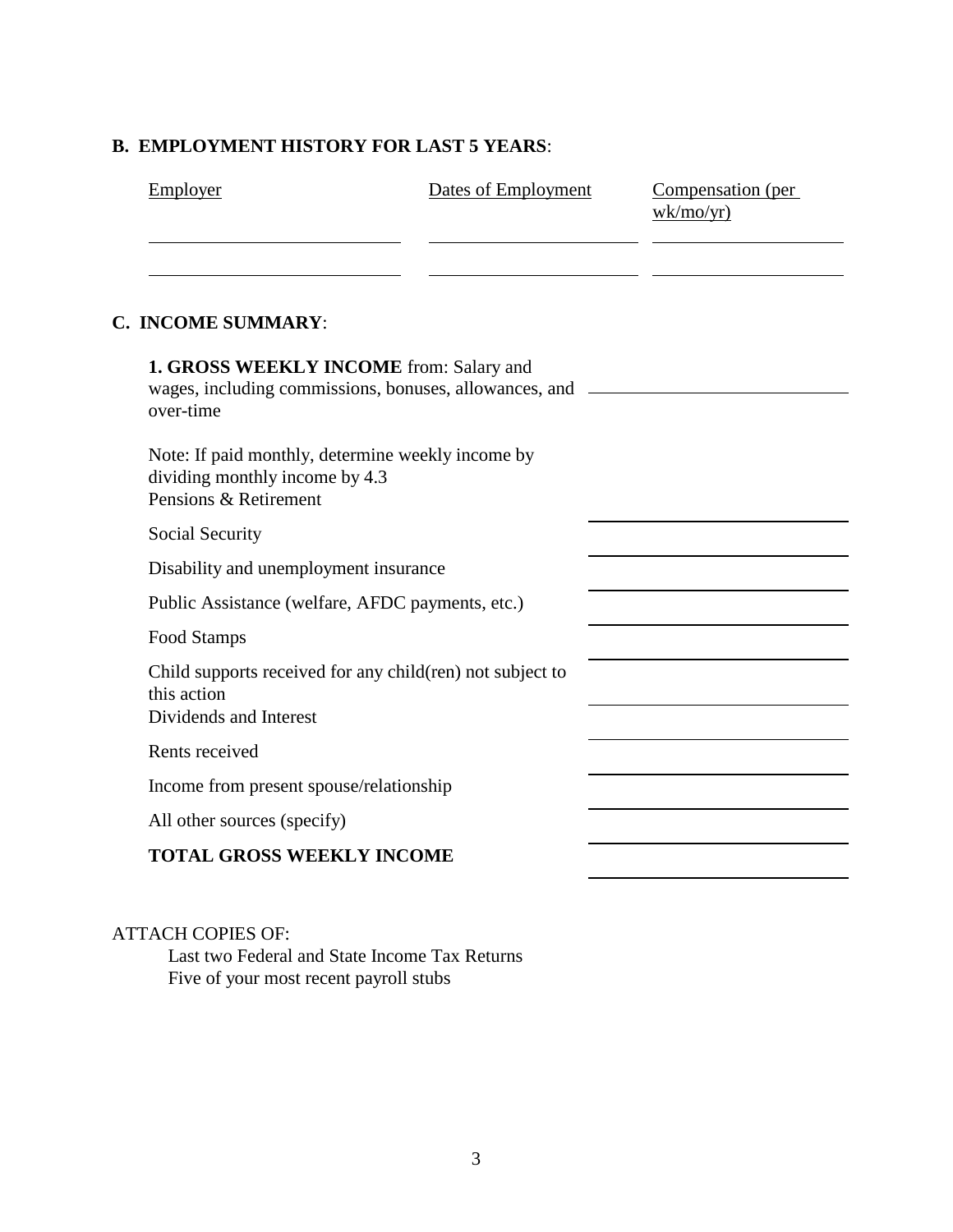### **B. EMPLOYMENT HISTORY FOR LAST 5 YEARS**:

| <b>Employer</b> | Dates of Employment | Compensation (per<br>wk/mol/yr) |
|-----------------|---------------------|---------------------------------|
|                 |                     |                                 |

 $\overline{\phantom{0}}$ 

÷,

### **C. INCOME SUMMARY**:

| 1. GROSS WEEKLY INCOME from: Salary and<br>wages, including commissions, bonuses, allowances, and _______<br>over-time |  |
|------------------------------------------------------------------------------------------------------------------------|--|
| Note: If paid monthly, determine weekly income by<br>dividing monthly income by 4.3<br>Pensions & Retirement           |  |
| Social Security                                                                                                        |  |
| Disability and unemployment insurance                                                                                  |  |
| Public Assistance (welfare, AFDC payments, etc.)                                                                       |  |
| Food Stamps                                                                                                            |  |
| Child supports received for any child(ren) not subject to<br>this action<br>Dividends and Interest                     |  |
| Rents received                                                                                                         |  |
| Income from present spouse/relationship                                                                                |  |
| All other sources (specify)                                                                                            |  |
| <b>TOTAL GROSS WEEKLY INCOME</b>                                                                                       |  |

#### ATTACH COPIES OF:

Last two Federal and State Income Tax Returns Five of your most recent payroll stubs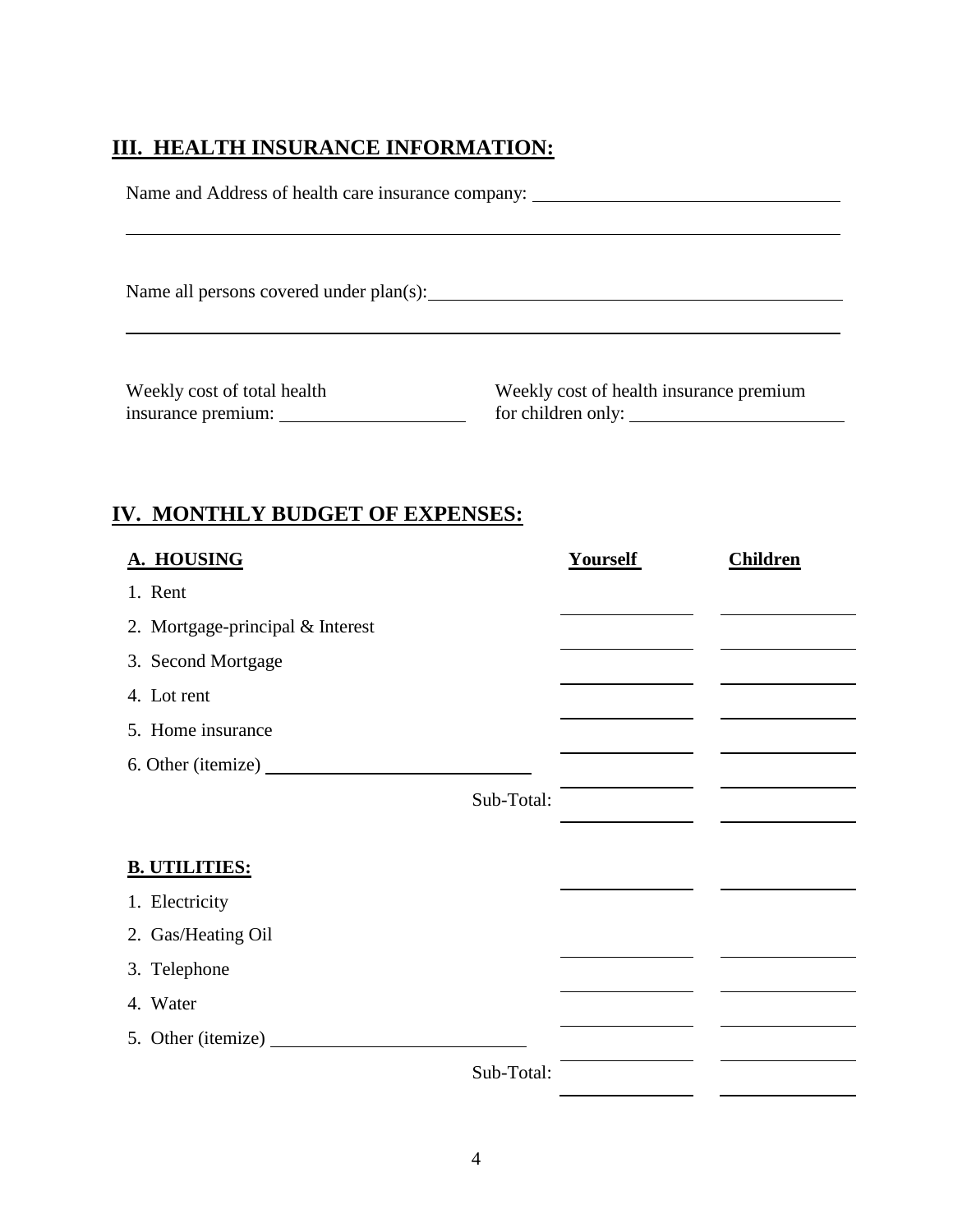## **III. HEALTH INSURANCE INFORMATION:**

| Name and Address of health care insurance company: ______________________________ |                                         |  |
|-----------------------------------------------------------------------------------|-----------------------------------------|--|
|                                                                                   |                                         |  |
| Name all persons covered under plan(s):                                           |                                         |  |
| Weekly cost of total health                                                       | Weekly cost of health insurance premium |  |

insurance premium: <u>subseteints and the set of children only:</u>

 $\mathbf{r}$ 

## **IV. MONTHLY BUDGET OF EXPENSES:**

| A. HOUSING                       | <b>Yourself</b> | <b>Children</b> |
|----------------------------------|-----------------|-----------------|
| 1. Rent                          |                 |                 |
| 2. Mortgage-principal & Interest |                 |                 |
| 3. Second Mortgage               |                 |                 |
| 4. Lot rent                      |                 |                 |
| 5. Home insurance                |                 |                 |
|                                  |                 |                 |
|                                  | Sub-Total:      |                 |
|                                  |                 |                 |
| <b>B. UTILITIES:</b>             |                 |                 |
| 1. Electricity                   |                 |                 |
| 2. Gas/Heating Oil               |                 |                 |
| 3. Telephone                     |                 |                 |
| 4. Water                         |                 |                 |
| 5. Other (itemize)               |                 |                 |
|                                  | Sub-Total:      |                 |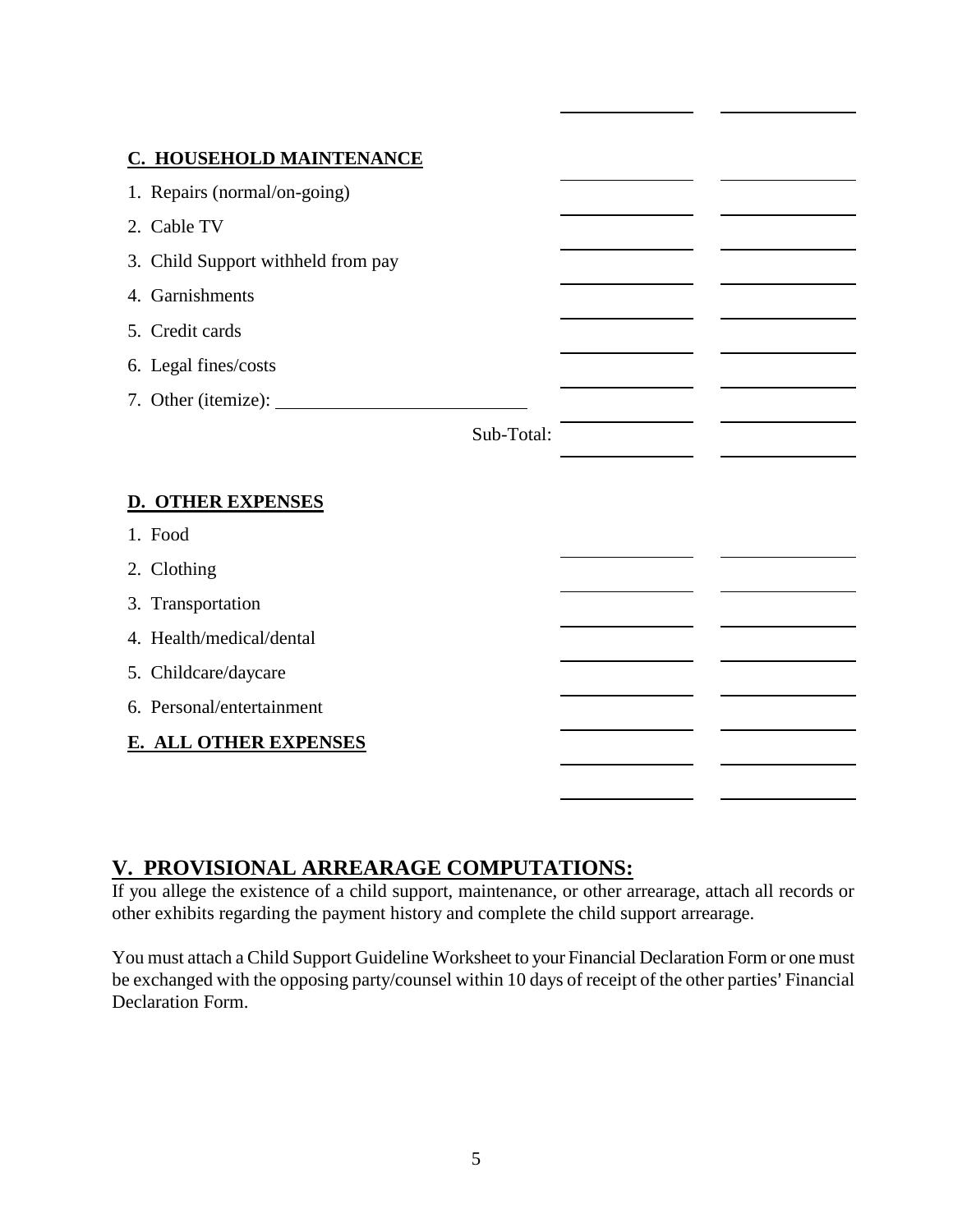#### **C. HOUSEHOLD MAINTENANCE**

| 2. Cable TV                        |  |
|------------------------------------|--|
| 3. Child Support withheld from pay |  |
| 4. Garnishments                    |  |
| 5. Credit cards                    |  |
| 6. Legal fines/costs               |  |
| 7. Other (itemize):                |  |
| Sub-Total:                         |  |
|                                    |  |
| <b>D. OTHER EXPENSES</b>           |  |
| 1. Food                            |  |
| 2. Clothing                        |  |
| 3. Transportation                  |  |
| 4. Health/medical/dental           |  |
| 5. Childcare/daycare               |  |
| 6. Personal/entertainment          |  |
| <b>E. ALL OTHER EXPENSES</b>       |  |
|                                    |  |

## **V. PROVISIONAL ARREARAGE COMPUTATIONS:**

If you allege the existence of a child support, maintenance, or other arrearage, attach all records or other exhibits regarding the payment history and complete the child support arrearage.

You must attach a Child Support Guideline Worksheet to your Financial Declaration Form or one must be exchanged with the opposing party/counsel within 10 days of receipt of the other parties' Financial Declaration Form.